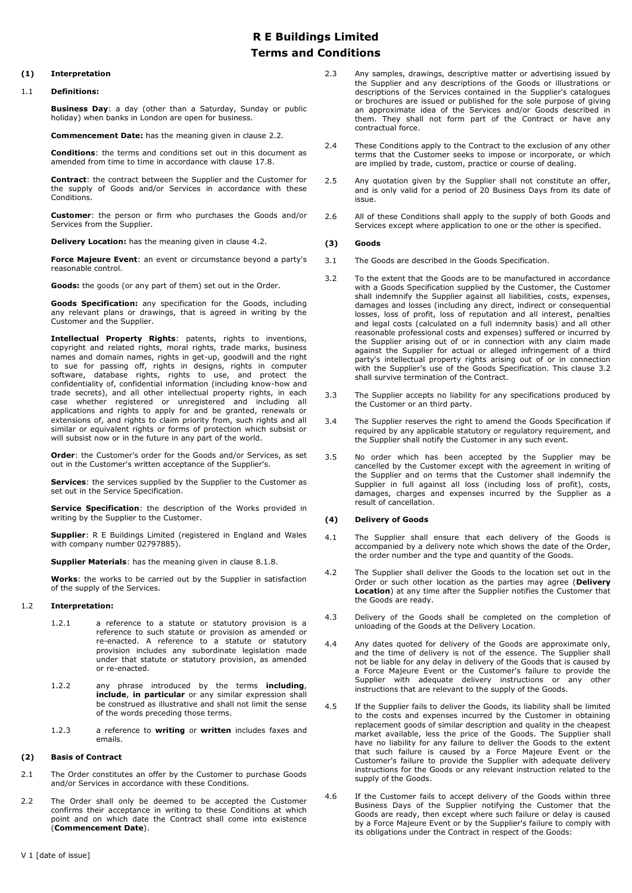# **R E Buildings Limited Terms and Conditions**

### **(1) Interpretation**

### 1.1 **Definitions:**

**Business Day**: a day (other than a Saturday, Sunday or public holiday) when banks in London are open for business.

**Commencement Date:** has the meaning given in clause [2.2.](#page-0-0)

**Conditions**: the terms and conditions set out in this document as amended from time to time in accordance with clause 17.8.

**Contract**: the contract between the Supplier and the Customer for the supply of Goods and/or Services in accordance with these **Conditions** 

**Customer**: the person or firm who purchases the Goods and/or Services from the Supplier.

**Delivery Location:** has the meaning given in clause [4.2.](#page-0-1)

**Force Majeure Event**: an event or circumstance beyond a party's reasonable control.

**Goods:** the goods (or any part of them) set out in the Order.

**Goods Specification:** any specification for the Goods, including any relevant plans or drawings, that is agreed in writing by the Customer and the Supplier.

**Intellectual Property Rights**: patents, rights to inventions, copyright and related rights, moral rights, trade marks, business names and domain names, rights in get-up, goodwill and the right to sue for passing off, rights in designs, rights in computer software, database rights, rights to use, and protect the confidentiality of, confidential information (including know-how and trade secrets), and all other intellectual property rights, in each case whether registered or unregistered and including all applications and rights to apply for and be granted, renewals or extensions of, and rights to claim priority from, such rights and all similar or equivalent rights or forms of protection which subsist or will subsist now or in the future in any part of the world.

**Order**: the Customer's order for the Goods and/or Services, as set out in the Customer's written acceptance of the Supplier's.

**Services**: the services supplied by the Supplier to the Customer as set out in the Service Specification.

**Service Specification**: the description of the Works provided in writing by the Supplier to the Customer.

**Supplier**: R E Buildings Limited (registered in England and Wales with company number 02797885).

**Supplier Materials**: has the meaning given in clause [8.1.8.](#page-2-0)

**Works**: the works to be carried out by the Supplier in satisfaction of the supply of the Services.

### 1.2 **Interpretation:**

- 1.2.1 a reference to a statute or statutory provision is a reference to such statute or provision as amended or re-enacted. A reference to a statute or statutory provision includes any subordinate legislation made under that statute or statutory provision, as amended or re-enacted.
- 1.2.2 any phrase introduced by the terms **including**, **include**, **in particular** or any similar expression shall be construed as illustrative and shall not limit the sense of the words preceding those terms.
- 1.2.3 a reference to **writing** or **written** includes faxes and emails.

### **(2) Basis of Contract**

- 2.1 The Order constitutes an offer by the Customer to purchase Goods and/or Services in accordance with these Conditions.
- <span id="page-0-0"></span>2.2 The Order shall only be deemed to be accepted the Customer confirms their acceptance in writing to these Conditions at which point and on which date the Contract shall come into existence (**Commencement Date**).
- 2.3 Any samples, drawings, descriptive matter or advertising issued by the Supplier and any descriptions of the Goods or illustrations or descriptions of the Services contained in the Supplier's catalogues or brochures are issued or published for the sole purpose of giving an approximate idea of the Services and/or Goods described in them. They shall not form part of the Contract or have any contractual force.
- 2.4 These Conditions apply to the Contract to the exclusion of any other terms that the Customer seeks to impose or incorporate, or which are implied by trade, custom, practice or course of dealing.
- 2.5 Any quotation given by the Supplier shall not constitute an offer, and is only valid for a period of 20 Business Days from its date of issue.
- 2.6 All of these Conditions shall apply to the supply of both Goods and Services except where application to one or the other is specified.

### **(3) Goods**

- 3.1 The Goods are described in the Goods Specification.
- <span id="page-0-2"></span>3.2 To the extent that the Goods are to be manufactured in accordance with a Goods Specification supplied by the Customer, the Customer shall indemnify the Supplier against all liabilities, costs, expenses, damages and losses (including any direct, indirect or consequential losses, loss of profit, loss of reputation and all interest, penalties and legal costs (calculated on a full indemnity basis) and all other reasonable professional costs and expenses) suffered or incurred by the Supplier arising out of or in connection with any claim made against the Supplier for actual or alleged infringement of a third party's intellectual property rights arising out of or in connection with the Supplier's use of the Goods Specification. This clause [3.2](#page-0-2) shall survive termination of the Contract.
- 3.3 The Supplier accepts no liability for any specifications produced by the Customer or an third party.
- 3.4 The Supplier reserves the right to amend the Goods Specification if required by any applicable statutory or regulatory requirement, and the Supplier shall notify the Customer in any such event.
- 3.5 No order which has been accepted by the Supplier may be cancelled by the Customer except with the agreement in writing of the Supplier and on terms that the Customer shall indemnify the Supplier in full against all loss (including loss of profit), costs, damages, charges and expenses incurred by the Supplier as a result of cancellation.

### **(4) Delivery of Goods**

- 4.1 The Supplier shall ensure that each delivery of the Goods is accompanied by a delivery note which shows the date of the Order, the order number and the type and quantity of the Goods.
- <span id="page-0-1"></span>4.2 The Supplier shall deliver the Goods to the location set out in the Order or such other location as the parties may agree (**Delivery Location**) at any time after the Supplier notifies the Customer that the Goods are ready.
- 4.3 Delivery of the Goods shall be completed on the completion of unloading of the Goods at the Delivery Location.
- 4.4 Any dates quoted for delivery of the Goods are approximate only, and the time of delivery is not of the essence. The Supplier shall not be liable for any delay in delivery of the Goods that is caused by a Force Majeure Event or the Customer's failure to provide the Supplier with adequate delivery instructions or any other instructions that are relevant to the supply of the Goods.
- 4.5 If the Supplier fails to deliver the Goods, its liability shall be limited to the costs and expenses incurred by the Customer in obtaining replacement goods of similar description and quality in the cheapest market available, less the price of the Goods. The Supplier shall have no liability for any failure to deliver the Goods to the extent that such failure is caused by a Force Majeure Event or the Customer's failure to provide the Supplier with adequate delivery instructions for the Goods or any relevant instruction related to the supply of the Goods.
- 4.6 If the Customer fails to accept delivery of the Goods within three Business Days of the Supplier notifying the Customer that the Goods are ready, then except where such failure or delay is caused by a Force Majeure Event or by the Supplier's failure to comply with its obligations under the Contract in respect of the Goods: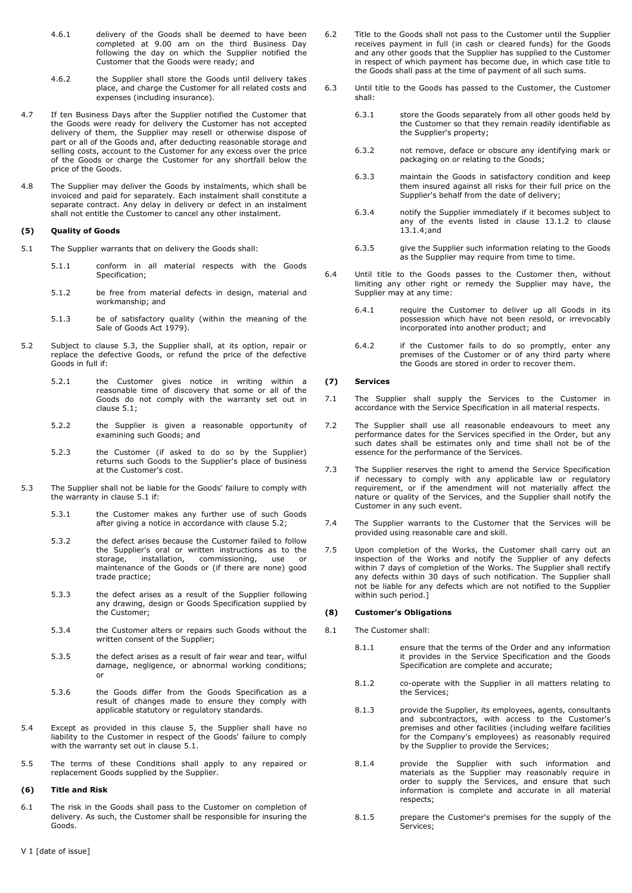- 4.6.1 delivery of the Goods shall be deemed to have been completed at 9.00 am on the third Business Day following the day on which the Supplier notified the Customer that the Goods were ready; and
- 4.6.2 the Supplier shall store the Goods until delivery takes place, and charge the Customer for all related costs and expenses (including insurance).
- 4.7 If ten Business Days after the Supplier notified the Customer that the Goods were ready for delivery the Customer has not accepted delivery of them, the Supplier may resell or otherwise dispose of part or all of the Goods and, after deducting reasonable storage and selling costs, account to the Customer for any excess over the price of the Goods or charge the Customer for any shortfall below the price of the Goods.
- 4.8 The Supplier may deliver the Goods by instalments, which shall be invoiced and paid for separately. Each instalment shall constitute a separate contract. Any delay in delivery or defect in an instalment shall not entitle the Customer to cancel any other instalment.

#### **(5) Quality of Goods**

- <span id="page-1-1"></span>5.1 The Supplier warrants that on delivery the Goods shall:
	- 5.1.1 conform in all material respects with the Goods Specification;
	- 5.1.2 be free from material defects in design, material and workmanship; and
	- 5.1.3 be of satisfactory quality (within the meaning of the Sale of Goods Act 1979).
- <span id="page-1-2"></span>5.2 Subject to clause [5.3,](#page-1-0) the Supplier shall, at its option, repair or replace the defective Goods, or refund the price of the defective Goods in full if:
	- 5.2.1 the Customer gives notice in writing within a reasonable time of discovery that some or all of the Goods do not comply with the warranty set out in clause [5.1;](#page-1-1)
	- 5.2.2 the Supplier is given a reasonable opportunity of examining such Goods; and
	- 5.2.3 the Customer (if asked to do so by the Supplier) returns such Goods to the Supplier's place of business at the Customer's cost.
- <span id="page-1-0"></span>5.3 The Supplier shall not be liable for the Goods' failure to comply with the warranty in clause [5.1](#page-1-1) if:
	- 5.3.1 the Customer makes any further use of such Goods after giving a notice in accordance with clause [5.2;](#page-1-2)
	- 5.3.2 the defect arises because the Customer failed to follow the Supplier's oral or written instructions as to the storage, installation, commissioning, use or maintenance of the Goods or (if there are none) good trade practice;
	- 5.3.3 the defect arises as a result of the Supplier following any drawing, design or Goods Specification supplied by the Customer;
	- 5.3.4 the Customer alters or repairs such Goods without the written consent of the Supplier;
	- 5.3.5 the defect arises as a result of fair wear and tear, wilful damage, negligence, or abnormal working conditions; or
	- 5.3.6 the Goods differ from the Goods Specification as a result of changes made to ensure they comply with applicable statutory or regulatory standards.
- 5.4 Except as provided in this clause 5, the Supplier shall have no liability to the Customer in respect of the Goods' failure to comply with the warranty set out in clause [5.1.](#page-1-1)
- 5.5 The terms of these Conditions shall apply to any repaired or replacement Goods supplied by the Supplier.

# **(6) Title and Risk**

6.1 The risk in the Goods shall pass to the Customer on completion of delivery. As such, the Customer shall be responsible for insuring the Goods.

- 6.2 Title to the Goods shall not pass to the Customer until the Supplier receives payment in full (in cash or cleared funds) for the Goods and any other goods that the Supplier has supplied to the Customer in respect of which payment has become due, in which case title to the Goods shall pass at the time of payment of all such sums.
- 6.3 Until title to the Goods has passed to the Customer, the Customer shall:
	- 6.3.1 store the Goods separately from all other goods held by the Customer so that they remain readily identifiable as the Supplier's property;
	- 6.3.2 not remove, deface or obscure any identifying mark or packaging on or relating to the Goods;
	- 6.3.3 maintain the Goods in satisfactory condition and keep them insured against all risks for their full price on the Supplier's behalf from the date of delivery;
	- 6.3.4 notify the Supplier immediately if it becomes subject to any of the events listed in clause [13.1.2](#page-3-0) to clause [13.1.4;](#page-3-1)and
	- 6.3.5 give the Supplier such information relating to the Goods as the Supplier may require from time to time.
- 6.4 Until title to the Goods passes to the Customer then, without limiting any other right or remedy the Supplier may have, the Supplier may at any time:
	- 6.4.1 require the Customer to deliver up all Goods in its possession which have not been resold, or irrevocably incorporated into another product; and
	- 6.4.2 if the Customer fails to do so promptly, enter any premises of the Customer or of any third party where the Goods are stored in order to recover them.

### **(7) Services**

- 7.1 The Supplier shall supply the Services to the Customer in accordance with the Service Specification in all material respects.
- 7.2 The Supplier shall use all reasonable endeavours to meet any performance dates for the Services specified in the Order, but any such dates shall be estimates only and time shall not be of the essence for the performance of the Services.
- 7.3 The Supplier reserves the right to amend the Service Specification if necessary to comply with any applicable law or regulatory requirement, or if the amendment will not materially affect the nature or quality of the Services, and the Supplier shall notify the Customer in any such event.
- 7.4 The Supplier warrants to the Customer that the Services will be provided using reasonable care and skill.
- 7.5 Upon completion of the Works, the Customer shall carry out an inspection of the Works and notify the Supplier of any defects within 7 days of completion of the Works. The Supplier shall rectify any defects within 30 days of such notification. The Supplier shall not be liable for any defects which are not notified to the Supplier within such period.]

### **(8) Customer's Obligations**

- 8.1 The Customer shall:
	- 8.1.1 ensure that the terms of the Order and any information it provides in the Service Specification and the Goods Specification are complete and accurate;
	- 8.1.2 co-operate with the Supplier in all matters relating to the Services;
	- 8.1.3 provide the Supplier, its employees, agents, consultants and subcontractors, with access to the Customer's premises and other facilities (including welfare facilities for the Company's employees) as reasonably required by the Supplier to provide the Services;
	- 8.1.4 provide the Supplier with such information and materials as the Supplier may reasonably require in order to supply the Services, and ensure that such information is complete and accurate in all material respects;
	- 8.1.5 prepare the Customer's premises for the supply of the Services;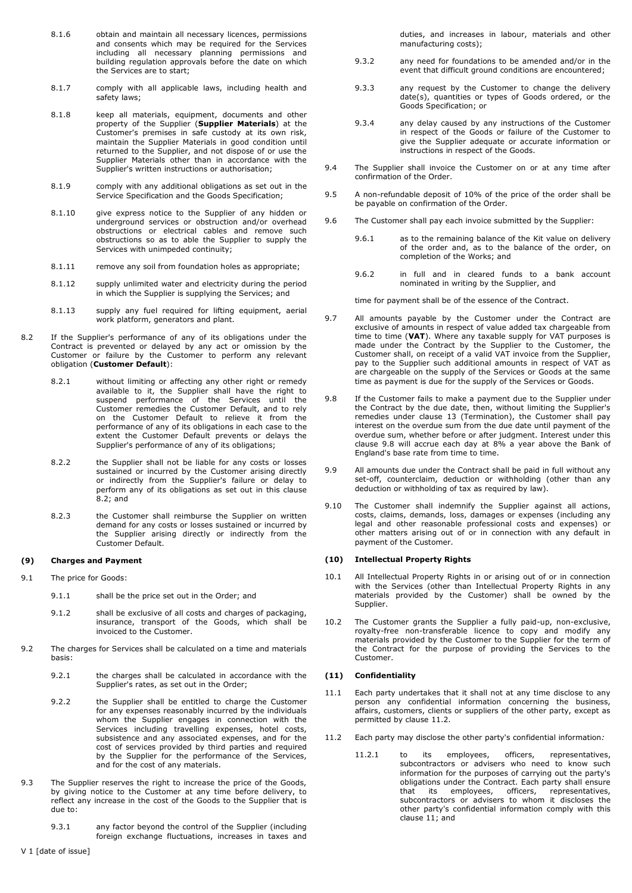- 8.1.6 obtain and maintain all necessary licences, permissions and consents which may be required for the Services including all necessary planning permissions and building regulation approvals before the date on which the Services are to start;
- 8.1.7 comply with all applicable laws, including health and safety laws;
- <span id="page-2-0"></span>8.1.8 keep all materials, equipment, documents and other property of the Supplier (**Supplier Materials**) at the Customer's premises in safe custody at its own risk, maintain the Supplier Materials in good condition until returned to the Supplier, and not dispose of or use the Supplier Materials other than in accordance with the Supplier's written instructions or authorisation;
- 8.1.9 comply with any additional obligations as set out in the Service Specification and the Goods Specification;
- 8.1.10 give express notice to the Supplier of any hidden or underground services or obstruction and/or overhead obstructions or electrical cables and remove such obstructions so as to able the Supplier to supply the Services with unimpeded continuity;
- 8.1.11 remove any soil from foundation holes as appropriate;
- 8.1.12 supply unlimited water and electricity during the period in which the Supplier is supplying the Services; and
- 8.1.13 supply any fuel required for lifting equipment, aerial work platform, generators and plant.
- <span id="page-2-1"></span>8.2 If the Supplier's performance of any of its obligations under the Contract is prevented or delayed by any act or omission by the Customer or failure by the Customer to perform any relevant obligation (**Customer Default**):
	- 8.2.1 without limiting or affecting any other right or remedy available to it, the Supplier shall have the right to suspend performance of the Services until the Customer remedies the Customer Default, and to rely on the Customer Default to relieve it from the performance of any of its obligations in each case to the extent the Customer Default prevents or delays the Supplier's performance of any of its obligations;
	- 8.2.2 the Supplier shall not be liable for any costs or losses sustained or incurred by the Customer arising directly or indirectly from the Supplier's failure or delay to perform any of its obligations as set out in this clause [8.2;](#page-2-1) and
	- 8.2.3 the Customer shall reimburse the Supplier on written demand for any costs or losses sustained or incurred by the Supplier arising directly or indirectly from the Customer Default.

# **(9) Charges and Payment**

- 9.1 The price for Goods:
	- 9.1.1 shall be the price set out in the Order; and
	- 9.1.2 shall be exclusive of all costs and charges of packaging, insurance, transport of the Goods, which shall be invoiced to the Customer.
- 9.2 The charges for Services shall be calculated on a time and materials basis:
	- 9.2.1 the charges shall be calculated in accordance with the Supplier's rates, as set out in the Order;
	- 9.2.2 the Supplier shall be entitled to charge the Customer for any expenses reasonably incurred by the individuals whom the Supplier engages in connection with the Services including travelling expenses, hotel costs, subsistence and any associated expenses, and for the cost of services provided by third parties and required by the Supplier for the performance of the Services, and for the cost of any materials.
- 9.3 The Supplier reserves the right to increase the price of the Goods, by giving notice to the Customer at any time before delivery, to reflect any increase in the cost of the Goods to the Supplier that is due to:
	- 9.3.1 any factor beyond the control of the Supplier (including foreign exchange fluctuations, increases in taxes and

duties, and increases in labour, materials and other manufacturing costs);

- 9.3.2 any need for foundations to be amended and/or in the event that difficult ground conditions are encountered;
- 9.3.3 any request by the Customer to change the delivery date(s), quantities or types of Goods ordered, or the Goods Specification; or
- 9.3.4 any delay caused by any instructions of the Customer in respect of the Goods or failure of the Customer to give the Supplier adequate or accurate information or instructions in respect of the Goods.
- 9.4 The Supplier shall invoice the Customer on or at any time after confirmation of the Order.
- 9.5 A non-refundable deposit of 10% of the price of the order shall be be payable on confirmation of the Order.
- 9.6 The Customer shall pay each invoice submitted by the Supplier:
	- 9.6.1 as to the remaining balance of the Kit value on delivery of the order and, as to the balance of the order, on completion of the Works; and
	- 9.6.2 in full and in cleared funds to a bank account nominated in writing by the Supplier, and

time for payment shall be of the essence of the Contract.

- 9.7 All amounts payable by the Customer under the Contract are exclusive of amounts in respect of value added tax chargeable from time to time (**VAT**). Where any taxable supply for VAT purposes is made under the Contract by the Supplier to the Customer, the Customer shall, on receipt of a valid VAT invoice from the Supplier, pay to the Supplier such additional amounts in respect of VAT as are chargeable on the supply of the Services or Goods at the same time as payment is due for the supply of the Services or Goods.
- <span id="page-2-2"></span>9.8 If the Customer fails to make a payment due to the Supplier under the Contract by the due date, then, without limiting the Supplier's remedies under clause 13 (Termination), the Customer shall pay interest on the overdue sum from the due date until payment of the overdue sum, whether before or after judgment. Interest under this clause [9.8](#page-2-2) will accrue each day at 8% a year above the Bank of England's base rate from time to time.
- 9.9 All amounts due under the Contract shall be paid in full without any set-off, counterclaim, deduction or withholding (other than any deduction or withholding of tax as required by law).
- 9.10 The Customer shall indemnify the Supplier against all actions, costs, claims, demands, loss, damages or expenses (including any legal and other reasonable professional costs and expenses) or other matters arising out of or in connection with any default in payment of the Customer.

# **(10) Intellectual Property Rights**

- 10.1 All Intellectual Property Rights in or arising out of or in connection with the Services (other than Intellectual Property Rights in any materials provided by the Customer) shall be owned by the Supplier.
- 10.2 The Customer grants the Supplier a fully paid-up, non-exclusive, royalty-free non-transferable licence to copy and modify any materials provided by the Customer to the Supplier for the term of the Contract for the purpose of providing the Services to the Customer.

# **(11) Confidentiality**

- 11.1 Each party undertakes that it shall not at any time disclose to any person any confidential information concerning the business, affairs, customers, clients or suppliers of the other party, except as permitted by clause [11.2.](#page-2-3)
- <span id="page-2-3"></span>11.2 Each party may disclose the other party's confidential information*:*
	- 11.2.1 to its employees, officers, representatives, subcontractors or advisers who need to know such information for the purposes of carrying out the party's obligations under the Contract. Each party shall ensure that its employees, officers, representatives, subcontractors or advisers to whom it discloses the other party's confidential information comply with this clause 11; and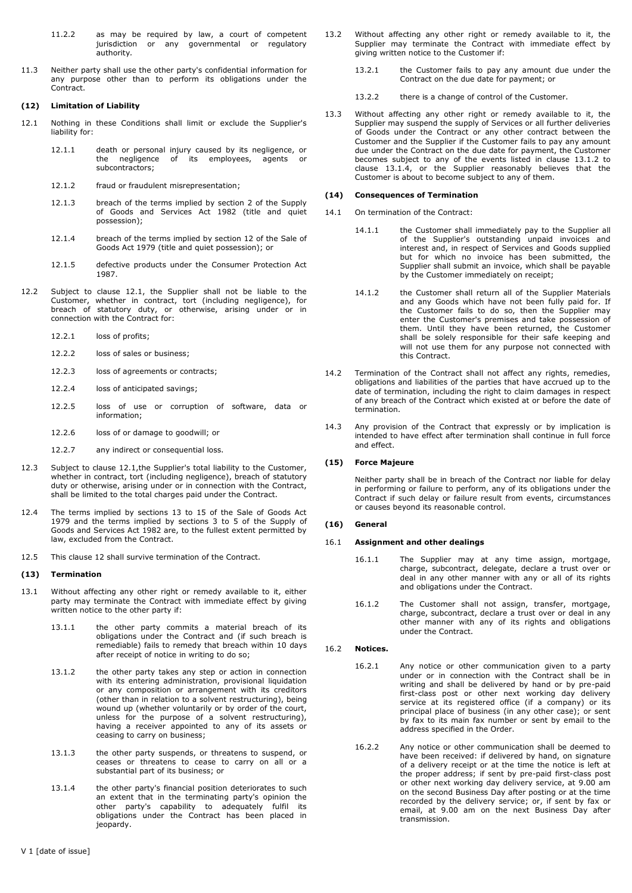- 11.2.2 as may be required by law, a court of competent jurisdiction or any governmental or regulatory authority*.*
- 11.3 Neither party shall use the other party's confidential information for any purpose other than to perform its obligations under the Contract.

### **(12) Limitation of Liability**

- <span id="page-3-2"></span>12.1 Nothing in these Conditions shall limit or exclude the Supplier's liability for:
	- 12.1.1 death or personal injury caused by its negligence, or the negligence of its employees, agents or subcontractors;
	- 12.1.2 fraud or fraudulent misrepresentation;
	- 12.1.3 breach of the terms implied by section 2 of the Supply of Goods and Services Act 1982 (title and quiet possession);
	- 12.1.4 breach of the terms implied by section 12 of the Sale of Goods Act 1979 (title and quiet possession); or
	- 12.1.5 defective products under the Consumer Protection Act 1987.
- 12.2 Subject to clause [12.1,](#page-3-2) the Supplier shall not be liable to the Customer, whether in contract, tort (including negligence), for breach of statutory duty, or otherwise, arising under or in connection with the Contract for:
	- 12.2.1 loss of profits;
	- 12.2.2 loss of sales or business;
	- 12.2.3 loss of agreements or contracts;
	- 12.2.4 loss of anticipated savings;
	- 12.2.5 loss of use or corruption of software, data or information;
	- 12.2.6 loss of or damage to goodwill; or
	- 12.2.7 any indirect or consequential loss.
- 12.3 Subject to clause [12.1,](#page-3-2)the Supplier's total liability to the Customer, whether in contract, tort (including negligence), breach of statutory duty or otherwise, arising under or in connection with the Contract, shall be limited to the total charges paid under the Contract.
- 12.4 The terms implied by sections 13 to 15 of the Sale of Goods Act 1979 and the terms implied by sections 3 to 5 of the Supply of Goods and Services Act 1982 are, to the fullest extent permitted by law, excluded from the Contract.
- 12.5 This clause 12 shall survive termination of the Contract.

### **(13) Termination**

- <span id="page-3-1"></span><span id="page-3-0"></span>13.1 Without affecting any other right or remedy available to it, either party may terminate the Contract with immediate effect by giving written notice to the other party if:
	- 13.1.1 the other party commits a material breach of its obligations under the Contract and (if such breach is remediable) fails to remedy that breach within 10 days after receipt of notice in writing to do so;
	- 13.1.2 the other party takes any step or action in connection with its entering administration, provisional liquidation or any composition or arrangement with its creditors (other than in relation to a solvent restructuring), being wound up (whether voluntarily or by order of the court, unless for the purpose of a solvent restructuring), having a receiver appointed to any of its assets or ceasing to carry on business;
	- 13.1.3 the other party suspends, or threatens to suspend, or ceases or threatens to cease to carry on all or a substantial part of its business; or
	- 13.1.4 the other party's financial position deteriorates to such an extent that in the terminating party's opinion the other party's capability to adequately fulfil its obligations under the Contract has been placed in jeopardy.
- 13.2 Without affecting any other right or remedy available to it, the Supplier may terminate the Contract with immediate effect by giving written notice to the Customer if:
	- 13.2.1 the Customer fails to pay any amount due under the Contract on the due date for payment; or
	- 13.2.2 there is a change of control of the Customer.
- 13.3 Without affecting any other right or remedy available to it, the Supplier may suspend the supply of Services or all further deliveries of Goods under the Contract or any other contract between the Customer and the Supplier if the Customer fails to pay any amount due under the Contract on the due date for payment, the Customer becomes subject to any of the events listed in clause [13.1.2](#page-3-0) to clause [13.1.4,](#page-3-1) or the Supplier reasonably believes that the Customer is about to become subject to any of them.

#### **(14) Consequences of Termination**

14.1 On termination of the Contract:

- 14.1.1 the Customer shall immediately pay to the Supplier all of the Supplier's outstanding unpaid invoices and interest and, in respect of Services and Goods supplied but for which no invoice has been submitted, the Supplier shall submit an invoice, which shall be payable by the Customer immediately on receipt;
- 14.1.2 the Customer shall return all of the Supplier Materials and any Goods which have not been fully paid for. If the Customer fails to do so, then the Supplier may enter the Customer's premises and take possession of them. Until they have been returned, the Customer shall be solely responsible for their safe keeping and will not use them for any purpose not connected with this Contract.
- 14.2 Termination of the Contract shall not affect any rights, remedies, obligations and liabilities of the parties that have accrued up to the date of termination, including the right to claim damages in respect of any breach of the Contract which existed at or before the date of termination.
- 14.3 Any provision of the Contract that expressly or by implication is intended to have effect after termination shall continue in full force and effect.

# **(15) Force Majeure**

Neither party shall be in breach of the Contract nor liable for delay in performing or failure to perform, any of its obligations under the Contract if such delay or failure result from events, circumstances or causes beyond its reasonable control.

### **(16) General**

### 16.1 **Assignment and other dealings**

- 16.1.1 The Supplier may at any time assign, mortgage, charge, subcontract, delegate, declare a trust over or deal in any other manner with any or all of its rights and obligations under the Contract.
- 16.1.2 The Customer shall not assign, transfer, mortgage, charge, subcontract, declare a trust over or deal in any other manner with any of its rights and obligations under the Contract.

## 16.2 **Notices.**

- 16.2.1 Any notice or other communication given to a party under or in connection with the Contract shall be in writing and shall be delivered by hand or by pre-paid first-class post or other next working day delivery service at its registered office (if a company) or its principal place of business (in any other case); or sent by fax to its main fax number or sent by email to the address specified in the Order.
- 16.2.2 Any notice or other communication shall be deemed to have been received: if delivered by hand, on signature of a delivery receipt or at the time the notice is left at the proper address; if sent by pre-paid first-class post or other next working day delivery service, at 9.00 am on the second Business Day after posting or at the time recorded by the delivery service; or, if sent by fax or email, at 9.00 am on the next Business Day after transmission.